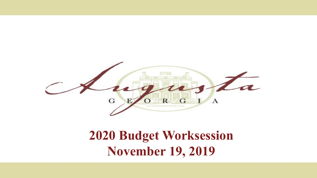

#### **2020 Budget Worksession November 19, 2019**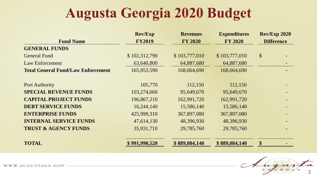# **Augusta Georgia 2020 Budget**

|                                           | <b>Rev/Exp</b> | <b>Revenues</b> | <b>Expenditures</b> | <b>Rev/Exp 2020</b>       |  |
|-------------------------------------------|----------------|-----------------|---------------------|---------------------------|--|
| <b>Fund Name</b>                          | <b>FY2019</b>  | <b>FY 2020</b>  | <b>FY 2020</b>      | <b>Difference</b>         |  |
| <b>GENERAL FUNDS</b>                      |                |                 |                     |                           |  |
| <b>General Fund</b>                       | \$102,312,790  | \$103,777,010   | \$103,777,010       | $\boldsymbol{\mathsf{S}}$ |  |
| <b>Law Enforcement</b>                    | 63,640,800     | 64,887,680      | 64,887,680          |                           |  |
| <b>Total General Fund/Law Enforcement</b> | 165,953,590    | 168,664,690     | 168,664,690         |                           |  |
|                                           |                |                 |                     |                           |  |
| <b>Port Authority</b>                     | 105,770        | 112,150         | 112,150             |                           |  |
| <b>SPECIAL REVENUE FUNDS</b>              | 103,274,660    | 95,649,670      | 95,649,670          |                           |  |
| <b>CAPITAL PROJECT FUNDS</b>              | 196,867,210    | 162,991,720     | 162,991,720         |                           |  |
| <b>DEBT SERVICE FUNDS</b>                 | 16,244,140     | 15,586,140      | 15,586,140          |                           |  |
| <b>ENTERPRISE FUNDS</b>                   | 425,999,310    | 367,897,080     | 367,897,080         |                           |  |
| <b>INTERNAL SERVICE FUNDS</b>             | 47,614,130     | 48,396,930      | 48,396,930          |                           |  |
| <b>TRUST &amp; AGENCY FUNDS</b>           | 35,931,710     | 29,785,760      | 29,785,760          |                           |  |
| <b>TOTAL</b>                              | \$991,990,520  | \$889,084,140   | \$889,084,140       | \$                        |  |

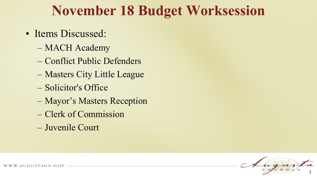### **November 18 Budget Worksession**

- Items Discussed:
	- MACH Academy
	- Conflict Public Defenders
	- Masters City Little League
	- Solicitor's Office
	- Mayor's Masters Reception
	- Clerk of Commission
	- Juvenile Court

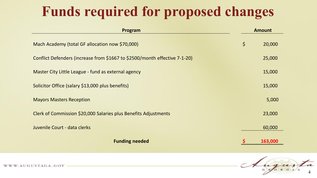# **Funds required for proposed changes**

| Program                                                                    | <b>Amount</b> |         |
|----------------------------------------------------------------------------|---------------|---------|
| Mach Academy (total GF allocation now \$70,000)                            | $\varsigma$   | 20,000  |
| Conflict Defenders (increase from \$1667 to \$2500/month effective 7-1-20) |               | 25,000  |
| Master City Little League - fund as external agency                        |               | 15,000  |
| Solicitor Office (salary \$13,000 plus benefits)                           |               | 15,000  |
| <b>Mayors Masters Reception</b>                                            |               | 5,000   |
| Clerk of Commission \$20,000 Salaries plus Benefits Adjustments            |               | 23,000  |
| Juvenile Court - data clerks                                               |               | 60,000  |
| <b>Funding needed</b>                                                      |               | 163,000 |

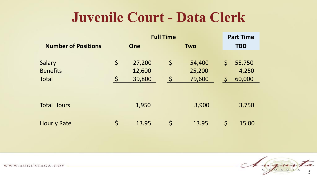#### **Juvenile Court - Data Clerk**

|                            | <b>Full Time</b> |                          |             |            | <b>Part Time</b> |        |
|----------------------------|------------------|--------------------------|-------------|------------|------------------|--------|
| <b>Number of Positions</b> |                  | <b>One</b><br><b>Two</b> |             | <b>TBD</b> |                  |        |
|                            |                  |                          |             |            |                  |        |
| Salary                     | $\varsigma$      | 27,200                   | \$          | 54,400     | $\zeta$          | 55,750 |
| <b>Benefits</b>            |                  | 12,600                   |             | 25,200     |                  | 4,250  |
| <b>Total</b>               | $\varsigma$      | 39,800                   | $\varsigma$ | 79,600     | $\mathsf{S}$     | 60,000 |
|                            |                  |                          |             |            |                  |        |
|                            |                  |                          |             |            |                  |        |
| <b>Total Hours</b>         |                  | 1,950                    |             | 3,900      |                  | 3,750  |
|                            |                  |                          |             |            |                  |        |
| <b>Hourly Rate</b>         | \$               | 13.95                    | \$          | 13.95      | $\varsigma$      | 15.00  |

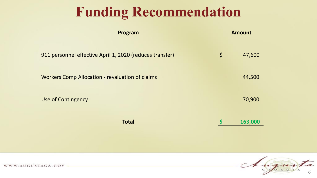## **Funding Recommendation**

| Program                                                  |             | <b>Amount</b> |  |
|----------------------------------------------------------|-------------|---------------|--|
| 911 personnel effective April 1, 2020 (reduces transfer) | $\varsigma$ | 47,600        |  |
| <b>Workers Comp Allocation - revaluation of claims</b>   |             | 44,500        |  |
| Use of Contingency                                       |             | 70,900        |  |
| <b>Total</b>                                             |             | 163,000       |  |

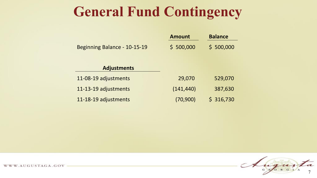## **General Fund Contingency**

|                              | <b>Amount</b> | <b>Balance</b> |
|------------------------------|---------------|----------------|
| Beginning Balance - 10-15-19 | \$500,000     | \$500,000      |
|                              |               |                |
| <b>Adjustments</b>           |               |                |
| 11-08-19 adjustments         | 29,070        | 529,070        |
| 11-13-19 adjustments         | (141, 440)    | 387,630        |
| 11-18-19 adjustments         | (70,900)      | \$316,730      |

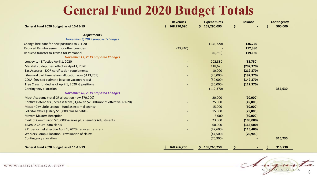#### **General Fund 2020 Budget Totals**

|                                                                              | <b>Revenues</b>   | <b>Expenditures</b> | <b>Balance</b> | <b>Contingency</b> |
|------------------------------------------------------------------------------|-------------------|---------------------|----------------|--------------------|
| General Fund 2020 Budget as of 10-15-19                                      | 168,290,090<br>S. | \$168,290,090       | \$             | 500,000<br>S       |
| <b>Adjustments</b>                                                           |                   |                     |                |                    |
| <b>November 8, 2019 proposed changes</b>                                     |                   |                     |                |                    |
| Change hire date for new positions to 7-1-20                                 |                   | (136, 220)          | 136,220        |                    |
| Reduced Reimbursement for other counties                                     | (23, 840)         |                     | 112,380        |                    |
| <b>Reduced transfer to Transit for Personnel</b>                             |                   | (6, 750)            | 119,130        |                    |
| <b>November 13, 2019 proposed Changes</b>                                    |                   |                     |                |                    |
| Longevity - Effective April 1, 2020                                          |                   | 202,880             | (83,750)       |                    |
| Marshal - 5 deputies effective April 1, 2020                                 |                   | 118,620             | (202, 370)     |                    |
| Tax Assessor - DOR certification supplements                                 |                   | 10,000              | (212, 370)     |                    |
| Lifeguard part time salary (allocation now \$113,765)                        |                   | (20,000)            | (192, 370)     |                    |
| COLA (revised estimate base on vacancy rates)                                |                   | (50,000)            | (142, 370)     |                    |
| Tree Crew funded as of April 1, 2020 -3 positions                            |                   | (30,000)            | (112, 370)     |                    |
| <b>Contingency allocation</b>                                                |                   | (112, 370)          |                | 387,630            |
| <b>November 18, 2019 proposed Changes</b>                                    |                   |                     |                |                    |
| Mach Academy (total GF allocation now \$70,000)                              |                   | 20,000              | (20,000)       |                    |
| Conflict Defenders (increase from \$1,667 to \$2,500/month effective 7-1-20) |                   | 25,000              | (45,000)       |                    |
| Master City Little League - fund as external agency                          |                   | 15,000              | (60,000)       |                    |
| Solicitor Office (salary \$13,000 plus benefits)                             |                   | 15,000              | (75,000)       |                    |
| <b>Mayors Masters Reception</b>                                              |                   | 5,000               | (80,000)       |                    |
| Clerk of Commission \$20,000 Salaries plus Benefits Adjustments              |                   | 23,000              | (103,000)      |                    |
| Juvenile Court - data clerks                                                 |                   | 60,000              | (163,000)      |                    |
| 911 personnel effective April 1, 2020 (reduces transfer)                     |                   | (47,600)            | (115, 400)     |                    |
| Workers Comp Allocation - revaluation of claims                              |                   | (44,500)            | (70, 900)      |                    |
| <b>Contingency allocation</b>                                                |                   | (70, 900)           |                | 316,730            |
| General Fund 2020 Budget as of 11-19-19                                      | 168,266,250       | 168,266,250         |                | 316,730            |

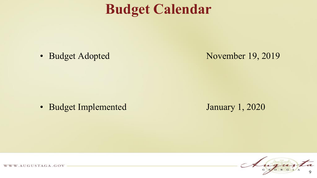### **Budget Calendar**

• Budget Adopted November 19, 2019

• Budget Implemented January 1, 2020

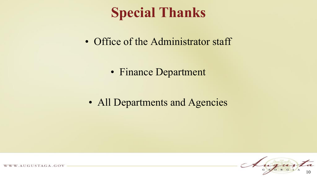## **Special Thanks**

• Office of the Administrator staff

• Finance Department

• All Departments and Agencies